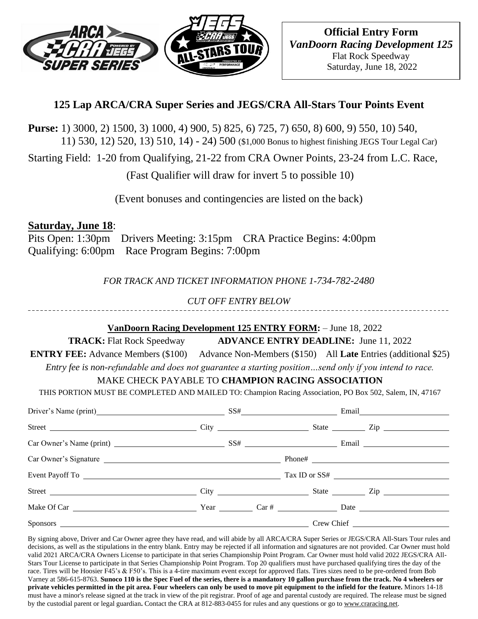

# **125 Lap ARCA/CRA Super Series and JEGS/CRA All-Stars Tour Points Event**

**Purse:** 1) 3000, 2) 1500, 3) 1000, 4) 900, 5) 825, 6) 725, 7) 650, 8) 600, 9) 550, 10) 540, 11) 530, 12) 520, 13) 510, 14) - 24) 500 (\$1,000 Bonus to highest finishing JEGS Tour Legal Car)

Starting Field: 1-20 from Qualifying, 21-22 from CRA Owner Points, 23-24 from L.C. Race,

(Fast Qualifier will draw for invert 5 to possible 10)

(Event bonuses and contingencies are listed on the back)

### **Saturday, June 18**:

Pits Open: 1:30pm Drivers Meeting: 3:15pm CRA Practice Begins: 4:00pm Qualifying: 6:00pm Race Program Begins: 7:00pm

*FOR TRACK AND TICKET INFORMATION PHONE 1-734-782-2480*

*CUT OFF ENTRY BELOW*

#### **VanDoorn Racing Development 125 ENTRY FORM:** – June 18, 2022

**TRACK:** Flat Rock Speedway **ADVANCE ENTRY DEADLINE:** June 11, 2022

**ENTRY FEE:** Advance Members (\$100) Advance Non-Members (\$150) All **Late** Entries (additional \$25) *Entry fee is non-refundable and does not guarantee a starting position…send only if you intend to race.*

## MAKE CHECK PAYABLE TO **CHAMPION RACING ASSOCIATION**

THIS PORTION MUST BE COMPLETED AND MAILED TO: Champion Racing Association, PO Box 502, Salem, IN, 47167

| Driver's Name (print) SS# Email Email                   |  |  |  |  |
|---------------------------------------------------------|--|--|--|--|
|                                                         |  |  |  |  |
| $\text{Car Owner's Name (print)}$ $SS\#$ $\text{Email}$ |  |  |  |  |
| Car Owner's Signature                                   |  |  |  |  |
|                                                         |  |  |  |  |
|                                                         |  |  |  |  |
|                                                         |  |  |  |  |
|                                                         |  |  |  |  |

By signing above, Driver and Car Owner agree they have read, and will abide by all ARCA/CRA Super Series or JEGS/CRA All-Stars Tour rules and decisions, as well as the stipulations in the entry blank. Entry may be rejected if all information and signatures are not provided. Car Owner must hold valid 2021 ARCA/CRA Owners License to participate in that series Championship Point Program. Car Owner must hold valid 2022 JEGS/CRA All-Stars Tour License to participate in that Series Championship Point Program. Top 20 qualifiers must have purchased qualifying tires the day of the race. Tires will be Hoosier F45's & F50's. This is a 4-tire maximum event except for approved flats. Tires sizes need to be pre-ordered from Bob Varney at 586-615-8763. **Sunoco 110 is the Spec Fuel of the series, there is a mandatory 10 gallon purchase from the track. No 4 wheelers or private vehicles permitted in the pit area. Four wheelers can only be used to move pit equipment to the infield for the feature.** Minors 14-18 must have a minor's release signed at the track in view of the pit registrar. Proof of age and parental custody are required. The release must be signed by the custodial parent or legal guardian**.** Contact the CRA at 812-883-0455 for rules and any questions or go to [www.craracing.net.](http://www.craracing.net/)